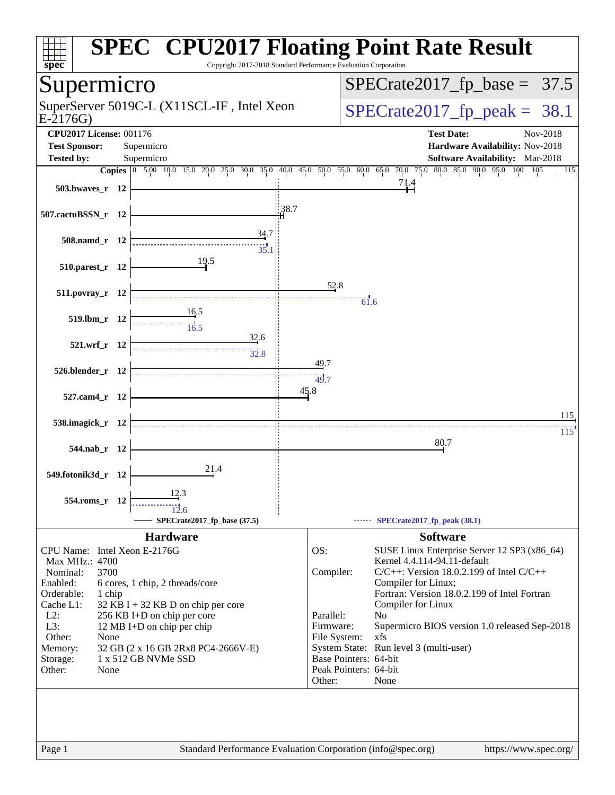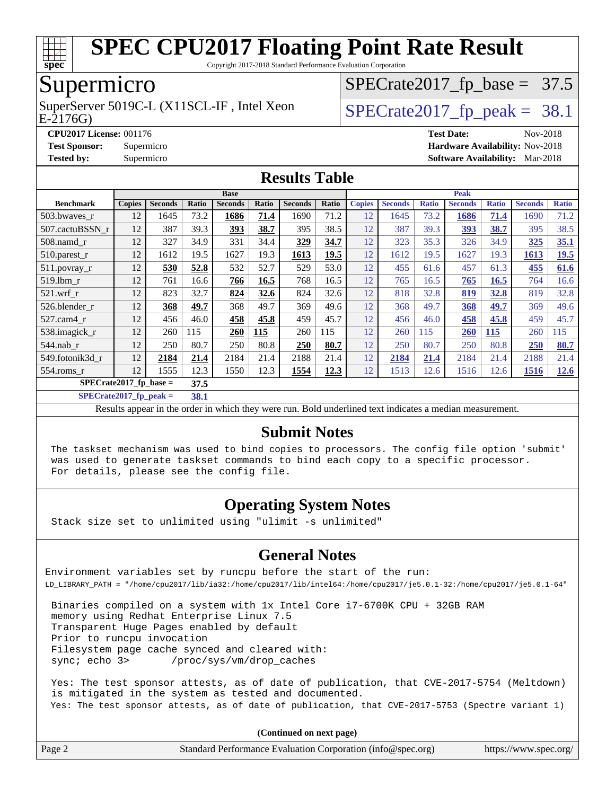

Copyright 2017-2018 Standard Performance Evaluation Corporation

### Supermicro

E-2176G) SuperServer 5019C-L (X11SCL-IF, Intel Xeon  $SPECrate2017_fp\_peak = 38.1$ 

 $SPECTate2017_fp\_base = 37.5$ 

**[CPU2017 License:](http://www.spec.org/auto/cpu2017/Docs/result-fields.html#CPU2017License)** 001176 **[Test Date:](http://www.spec.org/auto/cpu2017/Docs/result-fields.html#TestDate)** Nov-2018 **[Test Sponsor:](http://www.spec.org/auto/cpu2017/Docs/result-fields.html#TestSponsor)** Supermicro **[Hardware Availability:](http://www.spec.org/auto/cpu2017/Docs/result-fields.html#HardwareAvailability)** Nov-2018 **[Tested by:](http://www.spec.org/auto/cpu2017/Docs/result-fields.html#Testedby)** Supermicro **[Software Availability:](http://www.spec.org/auto/cpu2017/Docs/result-fields.html#SoftwareAvailability)** Mar-2018

#### **[Results Table](http://www.spec.org/auto/cpu2017/Docs/result-fields.html#ResultsTable)**

|                  | <b>Base</b>                      |                |       |                | <b>Peak</b> |                |             |               |                |              |                |              |                |              |
|------------------|----------------------------------|----------------|-------|----------------|-------------|----------------|-------------|---------------|----------------|--------------|----------------|--------------|----------------|--------------|
| <b>Benchmark</b> | <b>Copies</b>                    | <b>Seconds</b> | Ratio | <b>Seconds</b> | Ratio       | <b>Seconds</b> | Ratio       | <b>Copies</b> | <b>Seconds</b> | <b>Ratio</b> | <b>Seconds</b> | <b>Ratio</b> | <b>Seconds</b> | <b>Ratio</b> |
| 503.bwaves_r     | 12                               | 1645           | 73.2  | 1686           | 71.4        | 1690           | 71.2        | 12            | 1645           | 73.2         | 1686           | 71.4         | 1690           | 71.2         |
| 507.cactuBSSN r  | 12                               | 387            | 39.3  | 393            | 38.7        | 395            | 38.5        | 12            | 387            | 39.3         | <u>393</u>     | 38.7         | 395            | 38.5         |
| $508$ .namd $r$  | 12                               | 327            | 34.9  | 331            | 34.4        | 329            | 34.7        | 12            | 323            | 35.3         | 326            | 34.9         | 325            | 35.1         |
| $510.parest_r$   | 12                               | 1612           | 19.5  | 1627           | 19.3        | 1613           | 19.5        | 12            | 1612           | 19.5         | 1627           | 19.3         | 1613           | <u>19.5</u>  |
| 511.povray_r     | 12                               | 530            | 52.8  | 532            | 52.7        | 529            | 53.0        | 12            | 455            | 61.6         | 457            | 61.3         | 455            | 61.6         |
| 519.1bm r        | 12                               | 761            | 16.6  | 766            | 16.5        | 768            | 16.5        | 12            | 765            | 16.5         | 765            | 16.5         | 764            | 16.6         |
| $521$ .wrf r     | 12                               | 823            | 32.7  | 824            | 32.6        | 824            | 32.6        | 12            | 818            | 32.8         | 819            | 32.8         | 819            | 32.8         |
| 526.blender r    | 12                               | 368            | 49.7  | 368            | 49.7        | 369            | 49.6        | 12            | 368            | 49.7         | 368            | 49.7         | 369            | 49.6         |
| 527.cam4 r       | 12                               | 456            | 46.0  | 458            | 45.8        | 459            | 45.7        | 12            | 456            | 46.0         | 458            | 45.8         | 459            | 45.7         |
| 538.imagick_r    | 12                               | 260            | 115   | 260            | 115         | 260            | 115         | 12            | 260            | 115          | 260            | <b>115</b>   | 260            | 115          |
| 544.nab r        | 12                               | 250            | 80.7  | 250            | 80.8        | 250            | 80.7        | 12            | 250            | 80.7         | 250            | 80.8         | 250            | 80.7         |
| 549.fotonik3d r  | 12                               | 2184           | 21.4  | 2184           | 21.4        | 2188           | 21.4        | 12            | 2184           | 21.4         | 2184           | 21.4         | 2188           | 21.4         |
| $554$ .roms $r$  | 12                               | 1555           | 12.3  | 1550           | 12.3        | 1554           | <u>12.3</u> | 12            | 1513           | 12.6         | 1516           | 12.6         | 1516           | <b>12.6</b>  |
|                  | $SPECrate2017$ fp base =<br>37.5 |                |       |                |             |                |             |               |                |              |                |              |                |              |

**[SPECrate2017\\_fp\\_peak =](http://www.spec.org/auto/cpu2017/Docs/result-fields.html#SPECrate2017fppeak) 38.1**

Results appear in the [order in which they were run.](http://www.spec.org/auto/cpu2017/Docs/result-fields.html#RunOrder) Bold underlined text [indicates a median measurement.](http://www.spec.org/auto/cpu2017/Docs/result-fields.html#Median)

#### **[Submit Notes](http://www.spec.org/auto/cpu2017/Docs/result-fields.html#SubmitNotes)**

 The taskset mechanism was used to bind copies to processors. The config file option 'submit' was used to generate taskset commands to bind each copy to a specific processor. For details, please see the config file.

#### **[Operating System Notes](http://www.spec.org/auto/cpu2017/Docs/result-fields.html#OperatingSystemNotes)**

Stack size set to unlimited using "ulimit -s unlimited"

#### **[General Notes](http://www.spec.org/auto/cpu2017/Docs/result-fields.html#GeneralNotes)**

Environment variables set by runcpu before the start of the run: LD\_LIBRARY\_PATH = "/home/cpu2017/lib/ia32:/home/cpu2017/lib/intel64:/home/cpu2017/je5.0.1-32:/home/cpu2017/je5.0.1-64"

 Binaries compiled on a system with 1x Intel Core i7-6700K CPU + 32GB RAM memory using Redhat Enterprise Linux 7.5 Transparent Huge Pages enabled by default Prior to runcpu invocation Filesystem page cache synced and cleared with: sync; echo 3> /proc/sys/vm/drop\_caches

 Yes: The test sponsor attests, as of date of publication, that CVE-2017-5754 (Meltdown) is mitigated in the system as tested and documented. Yes: The test sponsor attests, as of date of publication, that CVE-2017-5753 (Spectre variant 1)

**(Continued on next page)**

| Page 2 | Standard Performance Evaluation Corporation (info@spec.org) | https://www.spec.org/ |
|--------|-------------------------------------------------------------|-----------------------|
|        |                                                             |                       |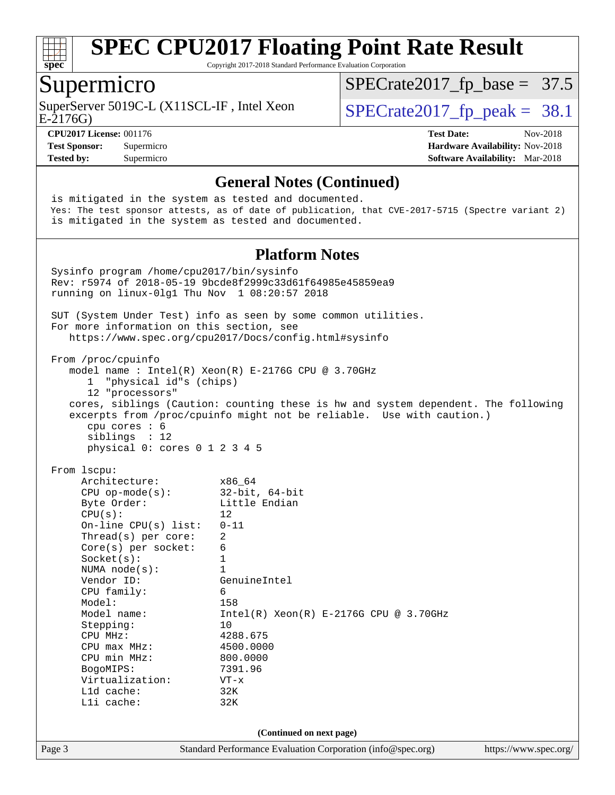

Copyright 2017-2018 Standard Performance Evaluation Corporation

#### Supermicro

SuperServer 5019C-L (X11SCL-IF, Intel Xeon  $SPECrate2017_fp\_peak = 38.1$ 

 $SPECTate2017_fp\_base = 37.5$ 

E-2176G)

**[CPU2017 License:](http://www.spec.org/auto/cpu2017/Docs/result-fields.html#CPU2017License)** 001176 **[Test Date:](http://www.spec.org/auto/cpu2017/Docs/result-fields.html#TestDate)** Nov-2018 **[Test Sponsor:](http://www.spec.org/auto/cpu2017/Docs/result-fields.html#TestSponsor)** Supermicro **[Hardware Availability:](http://www.spec.org/auto/cpu2017/Docs/result-fields.html#HardwareAvailability)** Nov-2018 **[Tested by:](http://www.spec.org/auto/cpu2017/Docs/result-fields.html#Testedby)** Supermicro **[Software Availability:](http://www.spec.org/auto/cpu2017/Docs/result-fields.html#SoftwareAvailability)** Mar-2018

#### **[General Notes \(Continued\)](http://www.spec.org/auto/cpu2017/Docs/result-fields.html#GeneralNotes)**

Page 3 Standard Performance Evaluation Corporation [\(info@spec.org\)](mailto:info@spec.org) <https://www.spec.org/> is mitigated in the system as tested and documented. Yes: The test sponsor attests, as of date of publication, that CVE-2017-5715 (Spectre variant 2) is mitigated in the system as tested and documented. **[Platform Notes](http://www.spec.org/auto/cpu2017/Docs/result-fields.html#PlatformNotes)** Sysinfo program /home/cpu2017/bin/sysinfo Rev: r5974 of 2018-05-19 9bcde8f2999c33d61f64985e45859ea9 running on linux-0lg1 Thu Nov 1 08:20:57 2018 SUT (System Under Test) info as seen by some common utilities. For more information on this section, see <https://www.spec.org/cpu2017/Docs/config.html#sysinfo> From /proc/cpuinfo model name : Intel(R) Xeon(R) E-2176G CPU @ 3.70GHz 1 "physical id"s (chips) 12 "processors" cores, siblings (Caution: counting these is hw and system dependent. The following excerpts from /proc/cpuinfo might not be reliable. Use with caution.) cpu cores : 6 siblings : 12 physical 0: cores 0 1 2 3 4 5 From lscpu: Architecture: x86\_64 CPU op-mode(s): 32-bit, 64-bit Byte Order: Little Endian  $CPU(s):$  12 On-line CPU(s) list: 0-11 Thread(s) per core: 2 Core(s) per socket: 6 Socket(s): 1 NUMA node(s): 1<br>Vendor ID: Ge GenuineIntel CPU family: 6 Model: 158 Model name: Intel(R) Xeon(R) E-2176G CPU @ 3.70GHz Stepping: 10 CPU MHz: 4288.675 CPU max MHz: 4500.0000 CPU min MHz: 800.0000 BogoMIPS: 7391.96 Virtualization: VT-x L1d cache: 32K L1i cache: 32K **(Continued on next page)**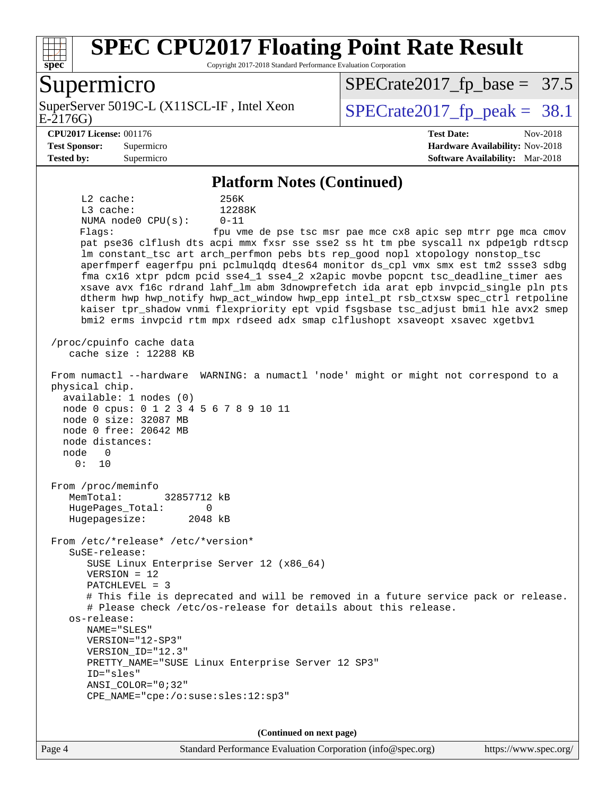

Copyright 2017-2018 Standard Performance Evaluation Corporation

#### Supermicro

E-2176G) SuperServer 5019C-L (X11SCL-IF, Intel Xeon  $SPECrate2017_fp\_peak = 38.1$ 

 $SPECrate2017_fp\_base = 37.5$ 

#### **[CPU2017 License:](http://www.spec.org/auto/cpu2017/Docs/result-fields.html#CPU2017License)** 001176 **[Test Date:](http://www.spec.org/auto/cpu2017/Docs/result-fields.html#TestDate)** Nov-2018

**[Test Sponsor:](http://www.spec.org/auto/cpu2017/Docs/result-fields.html#TestSponsor)** Supermicro **[Hardware Availability:](http://www.spec.org/auto/cpu2017/Docs/result-fields.html#HardwareAvailability)** Nov-2018 **[Tested by:](http://www.spec.org/auto/cpu2017/Docs/result-fields.html#Testedby)** Supermicro **[Software Availability:](http://www.spec.org/auto/cpu2017/Docs/result-fields.html#SoftwareAvailability)** Mar-2018

#### **[Platform Notes \(Continued\)](http://www.spec.org/auto/cpu2017/Docs/result-fields.html#PlatformNotes)**

 L2 cache: 256K L3 cache: 12288K NUMA node0 CPU(s): 0-11 Flags: fpu vme de pse tsc msr pae mce cx8 apic sep mtrr pge mca cmov pat pse36 clflush dts acpi mmx fxsr sse sse2 ss ht tm pbe syscall nx pdpe1gb rdtscp lm constant tsc art arch perfmon pebs bts rep good nopl xtopology nonstop tsc aperfmperf eagerfpu pni pclmulqdq dtes64 monitor ds\_cpl vmx smx est tm2 ssse3 sdbg fma cx16 xtpr pdcm pcid sse4\_1 sse4\_2 x2apic movbe popcnt tsc\_deadline\_timer aes xsave avx f16c rdrand lahf\_lm abm 3dnowprefetch ida arat epb invpcid\_single pln pts dtherm hwp hwp\_notify hwp\_act\_window hwp\_epp intel\_pt rsb\_ctxsw spec\_ctrl retpoline kaiser tpr\_shadow vnmi flexpriority ept vpid fsgsbase tsc\_adjust bmi1 hle avx2 smep bmi2 erms invpcid rtm mpx rdseed adx smap clflushopt xsaveopt xsavec xgetbv1 /proc/cpuinfo cache data cache size : 12288 KB From numactl --hardware WARNING: a numactl 'node' might or might not correspond to a physical chip. available: 1 nodes (0) node 0 cpus: 0 1 2 3 4 5 6 7 8 9 10 11 node 0 size: 32087 MB node 0 free: 20642 MB node distances: node 0 0: 10 From /proc/meminfo MemTotal: 32857712 kB HugePages\_Total: 0 Hugepagesize: 2048 kB From /etc/\*release\* /etc/\*version\* SuSE-release: SUSE Linux Enterprise Server 12 (x86\_64) VERSION = 12 PATCHLEVEL = 3 # This file is deprecated and will be removed in a future service pack or release. # Please check /etc/os-release for details about this release. os-release: NAME="SLES" VERSION="12-SP3" VERSION\_ID="12.3" PRETTY\_NAME="SUSE Linux Enterprise Server 12 SP3" ID="sles" ANSI\_COLOR="0;32" CPE\_NAME="cpe:/o:suse:sles:12:sp3"

**(Continued on next page)**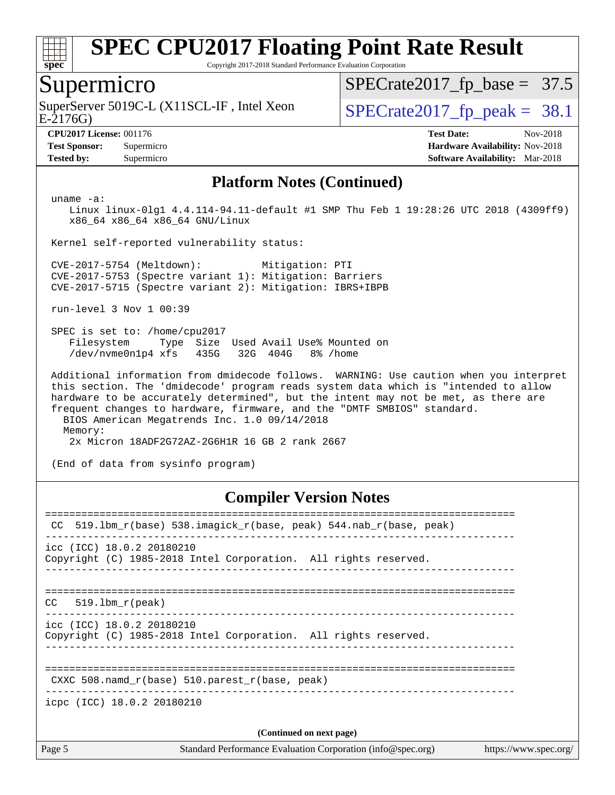

Copyright 2017-2018 Standard Performance Evaluation Corporation

### Supermicro

E-2176G) SuperServer 5019C-L (X11SCL-IF, Intel Xeon  $SPECrate2017_fp\_peak = 38.1$ 

 $SPECrate2017_fp\_base = 37.5$ 

**[Tested by:](http://www.spec.org/auto/cpu2017/Docs/result-fields.html#Testedby)** Supermicro **[Software Availability:](http://www.spec.org/auto/cpu2017/Docs/result-fields.html#SoftwareAvailability)** Mar-2018

**[CPU2017 License:](http://www.spec.org/auto/cpu2017/Docs/result-fields.html#CPU2017License)** 001176 **[Test Date:](http://www.spec.org/auto/cpu2017/Docs/result-fields.html#TestDate)** Nov-2018 **[Test Sponsor:](http://www.spec.org/auto/cpu2017/Docs/result-fields.html#TestSponsor)** Supermicro **[Hardware Availability:](http://www.spec.org/auto/cpu2017/Docs/result-fields.html#HardwareAvailability)** Nov-2018

#### **[Platform Notes \(Continued\)](http://www.spec.org/auto/cpu2017/Docs/result-fields.html#PlatformNotes)**

uname -a:

 Linux linux-0lg1 4.4.114-94.11-default #1 SMP Thu Feb 1 19:28:26 UTC 2018 (4309ff9) x86\_64 x86\_64 x86\_64 GNU/Linux

Kernel self-reported vulnerability status:

 CVE-2017-5754 (Meltdown): Mitigation: PTI CVE-2017-5753 (Spectre variant 1): Mitigation: Barriers CVE-2017-5715 (Spectre variant 2): Mitigation: IBRS+IBPB

run-level 3 Nov 1 00:39

 SPEC is set to: /home/cpu2017 Filesystem Type Size Used Avail Use% Mounted on /dev/nvme0n1p4 xfs 435G 32G 404G 8% /home

 Additional information from dmidecode follows. WARNING: Use caution when you interpret this section. The 'dmidecode' program reads system data which is "intended to allow hardware to be accurately determined", but the intent may not be met, as there are frequent changes to hardware, firmware, and the "DMTF SMBIOS" standard. BIOS American Megatrends Inc. 1.0 09/14/2018

 Memory: 2x Micron 18ADF2G72AZ-2G6H1R 16 GB 2 rank 2667

(End of data from sysinfo program)

#### **[Compiler Version Notes](http://www.spec.org/auto/cpu2017/Docs/result-fields.html#CompilerVersionNotes)**

| CC.                                                  | 519.1bm_r(base) 538.imagick_r(base, peak) 544.nab_r(base, peak) |                       |
|------------------------------------------------------|-----------------------------------------------------------------|-----------------------|
| icc (ICC) 18.0.2 20180210                            | Copyright (C) 1985-2018 Intel Corporation. All rights reserved. |                       |
| 519.1bm r(peak)<br>CC.                               |                                                                 |                       |
| icc (ICC) 18.0.2 20180210                            | Copyright (C) 1985-2018 Intel Corporation. All rights reserved. |                       |
| CXXC 508. namd $r(base)$ 510. parest $r(base, peak)$ |                                                                 |                       |
| icpc (ICC) 18.0.2 20180210                           |                                                                 |                       |
|                                                      | (Continued on next page)                                        |                       |
| Page 5                                               | Standard Performance Evaluation Corporation (info@spec.org)     | https://www.spec.org/ |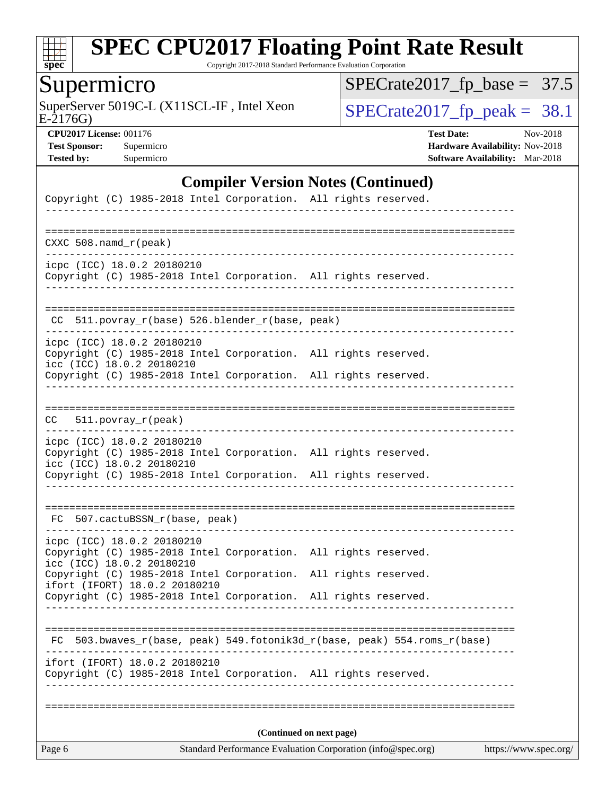

Copyright 2017-2018 Standard Performance Evaluation Corporation

Supermicro<br>SuperServer 5019C-L (X11SCL-IF, Intel Xeon

[SPECrate2017\\_fp\\_base =](http://www.spec.org/auto/cpu2017/Docs/result-fields.html#SPECrate2017fpbase) 37.5

E-2176G)

 $SPECTate2017_f p\_peak = 38.1$ 

**[CPU2017 License:](http://www.spec.org/auto/cpu2017/Docs/result-fields.html#CPU2017License)** 001176 **[Test Date:](http://www.spec.org/auto/cpu2017/Docs/result-fields.html#TestDate)** Nov-2018 **[Test Sponsor:](http://www.spec.org/auto/cpu2017/Docs/result-fields.html#TestSponsor)** Supermicro **[Hardware Availability:](http://www.spec.org/auto/cpu2017/Docs/result-fields.html#HardwareAvailability)** Nov-2018 **[Tested by:](http://www.spec.org/auto/cpu2017/Docs/result-fields.html#Testedby)** Supermicro **Supermicro [Software Availability:](http://www.spec.org/auto/cpu2017/Docs/result-fields.html#SoftwareAvailability)** Mar-2018

#### **[Compiler Version Notes \(Continued\)](http://www.spec.org/auto/cpu2017/Docs/result-fields.html#CompilerVersionNotes)**

| Page 6                                                  |                                                 | Standard Performance Evaluation Corporation (info@spec.org)              | https://www.spec.org/               |
|---------------------------------------------------------|-------------------------------------------------|--------------------------------------------------------------------------|-------------------------------------|
|                                                         |                                                 | (Continued on next page)                                                 |                                     |
|                                                         |                                                 | Copyright (C) 1985-2018 Intel Corporation. All rights reserved.          |                                     |
|                                                         | ifort (IFORT) 18.0.2 20180210                   |                                                                          |                                     |
|                                                         |                                                 | FC 503.bwaves_r(base, peak) 549.fotonik3d_r(base, peak) 554.roms_r(base) |                                     |
|                                                         |                                                 | Copyright (C) 1985-2018 Intel Corporation. All rights reserved.          |                                     |
|                                                         | ifort (IFORT) 18.0.2 20180210                   | Copyright (C) 1985-2018 Intel Corporation. All rights reserved.          |                                     |
| icpc (ICC) 18.0.2 20180210<br>icc (ICC) 18.0.2 20180210 |                                                 | Copyright (C) 1985-2018 Intel Corporation. All rights reserved.          |                                     |
|                                                         | FC 507.cactuBSSN_r(base, peak)                  |                                                                          |                                     |
|                                                         |                                                 | Copyright (C) 1985-2018 Intel Corporation. All rights reserved.          |                                     |
| icpc (ICC) 18.0.2 20180210<br>icc (ICC) 18.0.2 20180210 |                                                 | Copyright (C) 1985-2018 Intel Corporation. All rights reserved.          |                                     |
| CC                                                      | 511.povray_r(peak)                              |                                                                          |                                     |
|                                                         |                                                 |                                                                          |                                     |
| icc (ICC) 18.0.2 20180210                               |                                                 | Copyright (C) 1985-2018 Intel Corporation. All rights reserved.          |                                     |
| icpc (ICC) 18.0.2 20180210                              |                                                 | Copyright (C) 1985-2018 Intel Corporation. All rights reserved.          |                                     |
|                                                         | CC 511.povray_r(base) 526.blender_r(base, peak) |                                                                          | ___________________________________ |
|                                                         |                                                 | Copyright (C) 1985-2018 Intel Corporation. All rights reserved.          |                                     |
| icpc (ICC) 18.0.2 20180210                              |                                                 |                                                                          |                                     |
| $CXXC 508.namd_r (peak)$                                |                                                 |                                                                          |                                     |
|                                                         |                                                 |                                                                          |                                     |
|                                                         |                                                 | Copyright (C) 1985-2018 Intel Corporation. All rights reserved.          |                                     |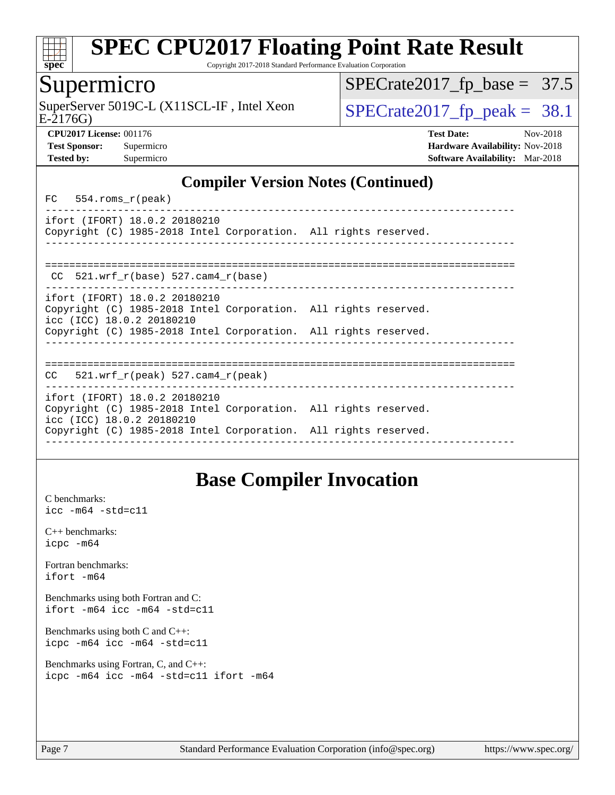

Copyright 2017-2018 Standard Performance Evaluation Corporation

#### Supermicro

SuperServer 5019C-L (X11SCL-IF, Intel Xeon  $SPECrate2017$  fp\_peak = 38.1

 $SPECTate2017_fp\_base = 37.5$ 

E-2176G)

**[Tested by:](http://www.spec.org/auto/cpu2017/Docs/result-fields.html#Testedby)** Supermicro **[Software Availability:](http://www.spec.org/auto/cpu2017/Docs/result-fields.html#SoftwareAvailability)** Mar-2018

**[CPU2017 License:](http://www.spec.org/auto/cpu2017/Docs/result-fields.html#CPU2017License)** 001176 **[Test Date:](http://www.spec.org/auto/cpu2017/Docs/result-fields.html#TestDate)** Nov-2018 **[Test Sponsor:](http://www.spec.org/auto/cpu2017/Docs/result-fields.html#TestSponsor)** Supermicro **[Hardware Availability:](http://www.spec.org/auto/cpu2017/Docs/result-fields.html#HardwareAvailability)** Nov-2018

#### **[Compiler Version Notes \(Continued\)](http://www.spec.org/auto/cpu2017/Docs/result-fields.html#CompilerVersionNotes)**

FC 554.roms\_r(peak)

----------------------------------------------------------------------------- ifort (IFORT) 18.0.2 20180210 Copyright (C) 1985-2018 Intel Corporation. All rights reserved. ------------------------------------------------------------------------------

============================================================================== CC 521.wrf\_r(base) 527.cam4\_r(base) ----------------------------------------------------------------------------- ifort (IFORT) 18.0.2 20180210 Copyright (C) 1985-2018 Intel Corporation. All rights reserved. icc (ICC) 18.0.2 20180210

Copyright (C) 1985-2018 Intel Corporation. All rights reserved.

------------------------------------------------------------------------------

============================================================================== CC 521.wrf\_r(peak) 527.cam4\_r(peak)

----------------------------------------------------------------------------- ifort (IFORT) 18.0.2 20180210 Copyright (C) 1985-2018 Intel Corporation. All rights reserved. icc (ICC) 18.0.2 20180210

Copyright (C) 1985-2018 Intel Corporation. All rights reserved. ------------------------------------------------------------------------------

## **[Base Compiler Invocation](http://www.spec.org/auto/cpu2017/Docs/result-fields.html#BaseCompilerInvocation)**

[C benchmarks](http://www.spec.org/auto/cpu2017/Docs/result-fields.html#Cbenchmarks): [icc -m64 -std=c11](http://www.spec.org/cpu2017/results/res2018q4/cpu2017-20181112-09577.flags.html#user_CCbase_intel_icc_64bit_c11_33ee0cdaae7deeeab2a9725423ba97205ce30f63b9926c2519791662299b76a0318f32ddfffdc46587804de3178b4f9328c46fa7c2b0cd779d7a61945c91cd35)

| $C_{++}$ benchmarks: |  |  |  |  |  |  |  |
|----------------------|--|--|--|--|--|--|--|
| $icpc$ $-m64$        |  |  |  |  |  |  |  |

[Fortran benchmarks](http://www.spec.org/auto/cpu2017/Docs/result-fields.html#Fortranbenchmarks): [ifort -m64](http://www.spec.org/cpu2017/results/res2018q4/cpu2017-20181112-09577.flags.html#user_FCbase_intel_ifort_64bit_24f2bb282fbaeffd6157abe4f878425411749daecae9a33200eee2bee2fe76f3b89351d69a8130dd5949958ce389cf37ff59a95e7a40d588e8d3a57e0c3fd751)

[Benchmarks using both Fortran and C](http://www.spec.org/auto/cpu2017/Docs/result-fields.html#BenchmarksusingbothFortranandC): [ifort -m64](http://www.spec.org/cpu2017/results/res2018q4/cpu2017-20181112-09577.flags.html#user_CC_FCbase_intel_ifort_64bit_24f2bb282fbaeffd6157abe4f878425411749daecae9a33200eee2bee2fe76f3b89351d69a8130dd5949958ce389cf37ff59a95e7a40d588e8d3a57e0c3fd751) [icc -m64 -std=c11](http://www.spec.org/cpu2017/results/res2018q4/cpu2017-20181112-09577.flags.html#user_CC_FCbase_intel_icc_64bit_c11_33ee0cdaae7deeeab2a9725423ba97205ce30f63b9926c2519791662299b76a0318f32ddfffdc46587804de3178b4f9328c46fa7c2b0cd779d7a61945c91cd35)

[Benchmarks using both C and C++](http://www.spec.org/auto/cpu2017/Docs/result-fields.html#BenchmarksusingbothCandCXX): [icpc -m64](http://www.spec.org/cpu2017/results/res2018q4/cpu2017-20181112-09577.flags.html#user_CC_CXXbase_intel_icpc_64bit_4ecb2543ae3f1412ef961e0650ca070fec7b7afdcd6ed48761b84423119d1bf6bdf5cad15b44d48e7256388bc77273b966e5eb805aefd121eb22e9299b2ec9d9) [icc -m64 -std=c11](http://www.spec.org/cpu2017/results/res2018q4/cpu2017-20181112-09577.flags.html#user_CC_CXXbase_intel_icc_64bit_c11_33ee0cdaae7deeeab2a9725423ba97205ce30f63b9926c2519791662299b76a0318f32ddfffdc46587804de3178b4f9328c46fa7c2b0cd779d7a61945c91cd35)

[Benchmarks using Fortran, C, and C++:](http://www.spec.org/auto/cpu2017/Docs/result-fields.html#BenchmarksusingFortranCandCXX) [icpc -m64](http://www.spec.org/cpu2017/results/res2018q4/cpu2017-20181112-09577.flags.html#user_CC_CXX_FCbase_intel_icpc_64bit_4ecb2543ae3f1412ef961e0650ca070fec7b7afdcd6ed48761b84423119d1bf6bdf5cad15b44d48e7256388bc77273b966e5eb805aefd121eb22e9299b2ec9d9) [icc -m64 -std=c11](http://www.spec.org/cpu2017/results/res2018q4/cpu2017-20181112-09577.flags.html#user_CC_CXX_FCbase_intel_icc_64bit_c11_33ee0cdaae7deeeab2a9725423ba97205ce30f63b9926c2519791662299b76a0318f32ddfffdc46587804de3178b4f9328c46fa7c2b0cd779d7a61945c91cd35) [ifort -m64](http://www.spec.org/cpu2017/results/res2018q4/cpu2017-20181112-09577.flags.html#user_CC_CXX_FCbase_intel_ifort_64bit_24f2bb282fbaeffd6157abe4f878425411749daecae9a33200eee2bee2fe76f3b89351d69a8130dd5949958ce389cf37ff59a95e7a40d588e8d3a57e0c3fd751)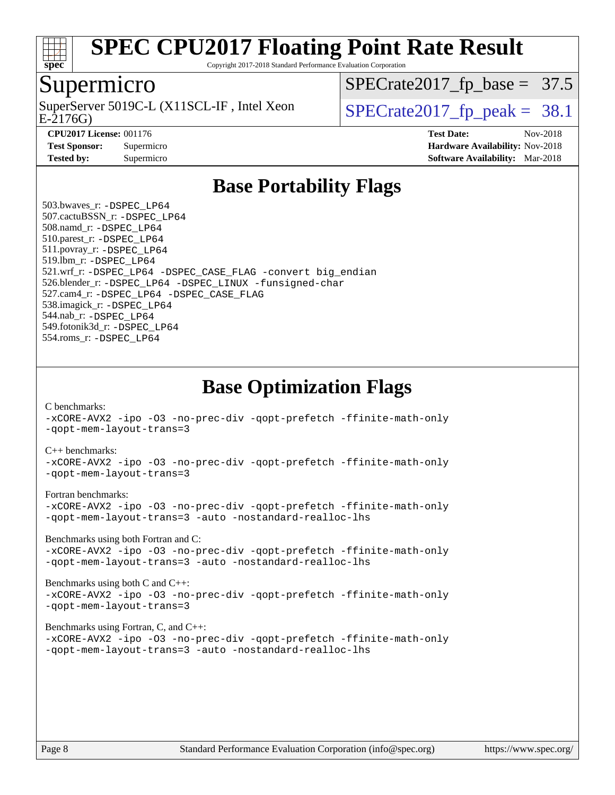

Copyright 2017-2018 Standard Performance Evaluation Corporation

#### Supermicro

E-2176G) SuperServer 5019C-L (X11SCL-IF, Intel Xeon  $\text{SPECrate2017\_fp\_peak} = 38.1$ 

 $SPECrate2017_fp\_base = 37.5$ 

**[Tested by:](http://www.spec.org/auto/cpu2017/Docs/result-fields.html#Testedby)** Supermicro **Supermicro [Software Availability:](http://www.spec.org/auto/cpu2017/Docs/result-fields.html#SoftwareAvailability)** Mar-2018

**[CPU2017 License:](http://www.spec.org/auto/cpu2017/Docs/result-fields.html#CPU2017License)** 001176 **[Test Date:](http://www.spec.org/auto/cpu2017/Docs/result-fields.html#TestDate)** Nov-2018 **[Test Sponsor:](http://www.spec.org/auto/cpu2017/Docs/result-fields.html#TestSponsor)** Supermicro **[Hardware Availability:](http://www.spec.org/auto/cpu2017/Docs/result-fields.html#HardwareAvailability)** Nov-2018

## **[Base Portability Flags](http://www.spec.org/auto/cpu2017/Docs/result-fields.html#BasePortabilityFlags)**

 503.bwaves\_r: [-DSPEC\\_LP64](http://www.spec.org/cpu2017/results/res2018q4/cpu2017-20181112-09577.flags.html#suite_basePORTABILITY503_bwaves_r_DSPEC_LP64) 507.cactuBSSN\_r: [-DSPEC\\_LP64](http://www.spec.org/cpu2017/results/res2018q4/cpu2017-20181112-09577.flags.html#suite_basePORTABILITY507_cactuBSSN_r_DSPEC_LP64) 508.namd\_r: [-DSPEC\\_LP64](http://www.spec.org/cpu2017/results/res2018q4/cpu2017-20181112-09577.flags.html#suite_basePORTABILITY508_namd_r_DSPEC_LP64) 510.parest\_r: [-DSPEC\\_LP64](http://www.spec.org/cpu2017/results/res2018q4/cpu2017-20181112-09577.flags.html#suite_basePORTABILITY510_parest_r_DSPEC_LP64) 511.povray\_r: [-DSPEC\\_LP64](http://www.spec.org/cpu2017/results/res2018q4/cpu2017-20181112-09577.flags.html#suite_basePORTABILITY511_povray_r_DSPEC_LP64) 519.lbm\_r: [-DSPEC\\_LP64](http://www.spec.org/cpu2017/results/res2018q4/cpu2017-20181112-09577.flags.html#suite_basePORTABILITY519_lbm_r_DSPEC_LP64) 521.wrf\_r: [-DSPEC\\_LP64](http://www.spec.org/cpu2017/results/res2018q4/cpu2017-20181112-09577.flags.html#suite_basePORTABILITY521_wrf_r_DSPEC_LP64) [-DSPEC\\_CASE\\_FLAG](http://www.spec.org/cpu2017/results/res2018q4/cpu2017-20181112-09577.flags.html#b521.wrf_r_baseCPORTABILITY_DSPEC_CASE_FLAG) [-convert big\\_endian](http://www.spec.org/cpu2017/results/res2018q4/cpu2017-20181112-09577.flags.html#user_baseFPORTABILITY521_wrf_r_convert_big_endian_c3194028bc08c63ac5d04de18c48ce6d347e4e562e8892b8bdbdc0214820426deb8554edfa529a3fb25a586e65a3d812c835984020483e7e73212c4d31a38223) 526.blender\_r: [-DSPEC\\_LP64](http://www.spec.org/cpu2017/results/res2018q4/cpu2017-20181112-09577.flags.html#suite_basePORTABILITY526_blender_r_DSPEC_LP64) [-DSPEC\\_LINUX](http://www.spec.org/cpu2017/results/res2018q4/cpu2017-20181112-09577.flags.html#b526.blender_r_baseCPORTABILITY_DSPEC_LINUX) [-funsigned-char](http://www.spec.org/cpu2017/results/res2018q4/cpu2017-20181112-09577.flags.html#user_baseCPORTABILITY526_blender_r_force_uchar_40c60f00ab013830e2dd6774aeded3ff59883ba5a1fc5fc14077f794d777847726e2a5858cbc7672e36e1b067e7e5c1d9a74f7176df07886a243d7cc18edfe67) 527.cam4\_r: [-DSPEC\\_LP64](http://www.spec.org/cpu2017/results/res2018q4/cpu2017-20181112-09577.flags.html#suite_basePORTABILITY527_cam4_r_DSPEC_LP64) [-DSPEC\\_CASE\\_FLAG](http://www.spec.org/cpu2017/results/res2018q4/cpu2017-20181112-09577.flags.html#b527.cam4_r_baseCPORTABILITY_DSPEC_CASE_FLAG) 538.imagick\_r: [-DSPEC\\_LP64](http://www.spec.org/cpu2017/results/res2018q4/cpu2017-20181112-09577.flags.html#suite_basePORTABILITY538_imagick_r_DSPEC_LP64) 544.nab\_r: [-DSPEC\\_LP64](http://www.spec.org/cpu2017/results/res2018q4/cpu2017-20181112-09577.flags.html#suite_basePORTABILITY544_nab_r_DSPEC_LP64) 549.fotonik3d\_r: [-DSPEC\\_LP64](http://www.spec.org/cpu2017/results/res2018q4/cpu2017-20181112-09577.flags.html#suite_basePORTABILITY549_fotonik3d_r_DSPEC_LP64) 554.roms\_r: [-DSPEC\\_LP64](http://www.spec.org/cpu2017/results/res2018q4/cpu2017-20181112-09577.flags.html#suite_basePORTABILITY554_roms_r_DSPEC_LP64)

**[Base Optimization Flags](http://www.spec.org/auto/cpu2017/Docs/result-fields.html#BaseOptimizationFlags)**

[C benchmarks](http://www.spec.org/auto/cpu2017/Docs/result-fields.html#Cbenchmarks):

[-xCORE-AVX2](http://www.spec.org/cpu2017/results/res2018q4/cpu2017-20181112-09577.flags.html#user_CCbase_f-xCORE-AVX2) [-ipo](http://www.spec.org/cpu2017/results/res2018q4/cpu2017-20181112-09577.flags.html#user_CCbase_f-ipo) [-O3](http://www.spec.org/cpu2017/results/res2018q4/cpu2017-20181112-09577.flags.html#user_CCbase_f-O3) [-no-prec-div](http://www.spec.org/cpu2017/results/res2018q4/cpu2017-20181112-09577.flags.html#user_CCbase_f-no-prec-div) [-qopt-prefetch](http://www.spec.org/cpu2017/results/res2018q4/cpu2017-20181112-09577.flags.html#user_CCbase_f-qopt-prefetch) [-ffinite-math-only](http://www.spec.org/cpu2017/results/res2018q4/cpu2017-20181112-09577.flags.html#user_CCbase_f_finite_math_only_cb91587bd2077682c4b38af759c288ed7c732db004271a9512da14a4f8007909a5f1427ecbf1a0fb78ff2a814402c6114ac565ca162485bbcae155b5e4258871) [-qopt-mem-layout-trans=3](http://www.spec.org/cpu2017/results/res2018q4/cpu2017-20181112-09577.flags.html#user_CCbase_f-qopt-mem-layout-trans_de80db37974c74b1f0e20d883f0b675c88c3b01e9d123adea9b28688d64333345fb62bc4a798493513fdb68f60282f9a726aa07f478b2f7113531aecce732043)

#### [C++ benchmarks:](http://www.spec.org/auto/cpu2017/Docs/result-fields.html#CXXbenchmarks)

[-xCORE-AVX2](http://www.spec.org/cpu2017/results/res2018q4/cpu2017-20181112-09577.flags.html#user_CXXbase_f-xCORE-AVX2) [-ipo](http://www.spec.org/cpu2017/results/res2018q4/cpu2017-20181112-09577.flags.html#user_CXXbase_f-ipo) [-O3](http://www.spec.org/cpu2017/results/res2018q4/cpu2017-20181112-09577.flags.html#user_CXXbase_f-O3) [-no-prec-div](http://www.spec.org/cpu2017/results/res2018q4/cpu2017-20181112-09577.flags.html#user_CXXbase_f-no-prec-div) [-qopt-prefetch](http://www.spec.org/cpu2017/results/res2018q4/cpu2017-20181112-09577.flags.html#user_CXXbase_f-qopt-prefetch) [-ffinite-math-only](http://www.spec.org/cpu2017/results/res2018q4/cpu2017-20181112-09577.flags.html#user_CXXbase_f_finite_math_only_cb91587bd2077682c4b38af759c288ed7c732db004271a9512da14a4f8007909a5f1427ecbf1a0fb78ff2a814402c6114ac565ca162485bbcae155b5e4258871) [-qopt-mem-layout-trans=3](http://www.spec.org/cpu2017/results/res2018q4/cpu2017-20181112-09577.flags.html#user_CXXbase_f-qopt-mem-layout-trans_de80db37974c74b1f0e20d883f0b675c88c3b01e9d123adea9b28688d64333345fb62bc4a798493513fdb68f60282f9a726aa07f478b2f7113531aecce732043)

#### [Fortran benchmarks](http://www.spec.org/auto/cpu2017/Docs/result-fields.html#Fortranbenchmarks):

[-xCORE-AVX2](http://www.spec.org/cpu2017/results/res2018q4/cpu2017-20181112-09577.flags.html#user_FCbase_f-xCORE-AVX2) [-ipo](http://www.spec.org/cpu2017/results/res2018q4/cpu2017-20181112-09577.flags.html#user_FCbase_f-ipo) [-O3](http://www.spec.org/cpu2017/results/res2018q4/cpu2017-20181112-09577.flags.html#user_FCbase_f-O3) [-no-prec-div](http://www.spec.org/cpu2017/results/res2018q4/cpu2017-20181112-09577.flags.html#user_FCbase_f-no-prec-div) [-qopt-prefetch](http://www.spec.org/cpu2017/results/res2018q4/cpu2017-20181112-09577.flags.html#user_FCbase_f-qopt-prefetch) [-ffinite-math-only](http://www.spec.org/cpu2017/results/res2018q4/cpu2017-20181112-09577.flags.html#user_FCbase_f_finite_math_only_cb91587bd2077682c4b38af759c288ed7c732db004271a9512da14a4f8007909a5f1427ecbf1a0fb78ff2a814402c6114ac565ca162485bbcae155b5e4258871) [-qopt-mem-layout-trans=3](http://www.spec.org/cpu2017/results/res2018q4/cpu2017-20181112-09577.flags.html#user_FCbase_f-qopt-mem-layout-trans_de80db37974c74b1f0e20d883f0b675c88c3b01e9d123adea9b28688d64333345fb62bc4a798493513fdb68f60282f9a726aa07f478b2f7113531aecce732043) [-auto](http://www.spec.org/cpu2017/results/res2018q4/cpu2017-20181112-09577.flags.html#user_FCbase_f-auto) [-nostandard-realloc-lhs](http://www.spec.org/cpu2017/results/res2018q4/cpu2017-20181112-09577.flags.html#user_FCbase_f_2003_std_realloc_82b4557e90729c0f113870c07e44d33d6f5a304b4f63d4c15d2d0f1fab99f5daaed73bdb9275d9ae411527f28b936061aa8b9c8f2d63842963b95c9dd6426b8a)

[Benchmarks using both Fortran and C](http://www.spec.org/auto/cpu2017/Docs/result-fields.html#BenchmarksusingbothFortranandC):

[-xCORE-AVX2](http://www.spec.org/cpu2017/results/res2018q4/cpu2017-20181112-09577.flags.html#user_CC_FCbase_f-xCORE-AVX2) [-ipo](http://www.spec.org/cpu2017/results/res2018q4/cpu2017-20181112-09577.flags.html#user_CC_FCbase_f-ipo) [-O3](http://www.spec.org/cpu2017/results/res2018q4/cpu2017-20181112-09577.flags.html#user_CC_FCbase_f-O3) [-no-prec-div](http://www.spec.org/cpu2017/results/res2018q4/cpu2017-20181112-09577.flags.html#user_CC_FCbase_f-no-prec-div) [-qopt-prefetch](http://www.spec.org/cpu2017/results/res2018q4/cpu2017-20181112-09577.flags.html#user_CC_FCbase_f-qopt-prefetch) [-ffinite-math-only](http://www.spec.org/cpu2017/results/res2018q4/cpu2017-20181112-09577.flags.html#user_CC_FCbase_f_finite_math_only_cb91587bd2077682c4b38af759c288ed7c732db004271a9512da14a4f8007909a5f1427ecbf1a0fb78ff2a814402c6114ac565ca162485bbcae155b5e4258871) [-qopt-mem-layout-trans=3](http://www.spec.org/cpu2017/results/res2018q4/cpu2017-20181112-09577.flags.html#user_CC_FCbase_f-qopt-mem-layout-trans_de80db37974c74b1f0e20d883f0b675c88c3b01e9d123adea9b28688d64333345fb62bc4a798493513fdb68f60282f9a726aa07f478b2f7113531aecce732043) [-auto](http://www.spec.org/cpu2017/results/res2018q4/cpu2017-20181112-09577.flags.html#user_CC_FCbase_f-auto) [-nostandard-realloc-lhs](http://www.spec.org/cpu2017/results/res2018q4/cpu2017-20181112-09577.flags.html#user_CC_FCbase_f_2003_std_realloc_82b4557e90729c0f113870c07e44d33d6f5a304b4f63d4c15d2d0f1fab99f5daaed73bdb9275d9ae411527f28b936061aa8b9c8f2d63842963b95c9dd6426b8a)

[Benchmarks using both C and C++](http://www.spec.org/auto/cpu2017/Docs/result-fields.html#BenchmarksusingbothCandCXX): [-xCORE-AVX2](http://www.spec.org/cpu2017/results/res2018q4/cpu2017-20181112-09577.flags.html#user_CC_CXXbase_f-xCORE-AVX2) [-ipo](http://www.spec.org/cpu2017/results/res2018q4/cpu2017-20181112-09577.flags.html#user_CC_CXXbase_f-ipo) [-O3](http://www.spec.org/cpu2017/results/res2018q4/cpu2017-20181112-09577.flags.html#user_CC_CXXbase_f-O3) [-no-prec-div](http://www.spec.org/cpu2017/results/res2018q4/cpu2017-20181112-09577.flags.html#user_CC_CXXbase_f-no-prec-div) [-qopt-prefetch](http://www.spec.org/cpu2017/results/res2018q4/cpu2017-20181112-09577.flags.html#user_CC_CXXbase_f-qopt-prefetch) [-ffinite-math-only](http://www.spec.org/cpu2017/results/res2018q4/cpu2017-20181112-09577.flags.html#user_CC_CXXbase_f_finite_math_only_cb91587bd2077682c4b38af759c288ed7c732db004271a9512da14a4f8007909a5f1427ecbf1a0fb78ff2a814402c6114ac565ca162485bbcae155b5e4258871) [-qopt-mem-layout-trans=3](http://www.spec.org/cpu2017/results/res2018q4/cpu2017-20181112-09577.flags.html#user_CC_CXXbase_f-qopt-mem-layout-trans_de80db37974c74b1f0e20d883f0b675c88c3b01e9d123adea9b28688d64333345fb62bc4a798493513fdb68f60282f9a726aa07f478b2f7113531aecce732043)

#### [Benchmarks using Fortran, C, and C++:](http://www.spec.org/auto/cpu2017/Docs/result-fields.html#BenchmarksusingFortranCandCXX)

[-xCORE-AVX2](http://www.spec.org/cpu2017/results/res2018q4/cpu2017-20181112-09577.flags.html#user_CC_CXX_FCbase_f-xCORE-AVX2) [-ipo](http://www.spec.org/cpu2017/results/res2018q4/cpu2017-20181112-09577.flags.html#user_CC_CXX_FCbase_f-ipo) [-O3](http://www.spec.org/cpu2017/results/res2018q4/cpu2017-20181112-09577.flags.html#user_CC_CXX_FCbase_f-O3) [-no-prec-div](http://www.spec.org/cpu2017/results/res2018q4/cpu2017-20181112-09577.flags.html#user_CC_CXX_FCbase_f-no-prec-div) [-qopt-prefetch](http://www.spec.org/cpu2017/results/res2018q4/cpu2017-20181112-09577.flags.html#user_CC_CXX_FCbase_f-qopt-prefetch) [-ffinite-math-only](http://www.spec.org/cpu2017/results/res2018q4/cpu2017-20181112-09577.flags.html#user_CC_CXX_FCbase_f_finite_math_only_cb91587bd2077682c4b38af759c288ed7c732db004271a9512da14a4f8007909a5f1427ecbf1a0fb78ff2a814402c6114ac565ca162485bbcae155b5e4258871) [-qopt-mem-layout-trans=3](http://www.spec.org/cpu2017/results/res2018q4/cpu2017-20181112-09577.flags.html#user_CC_CXX_FCbase_f-qopt-mem-layout-trans_de80db37974c74b1f0e20d883f0b675c88c3b01e9d123adea9b28688d64333345fb62bc4a798493513fdb68f60282f9a726aa07f478b2f7113531aecce732043) [-auto](http://www.spec.org/cpu2017/results/res2018q4/cpu2017-20181112-09577.flags.html#user_CC_CXX_FCbase_f-auto) [-nostandard-realloc-lhs](http://www.spec.org/cpu2017/results/res2018q4/cpu2017-20181112-09577.flags.html#user_CC_CXX_FCbase_f_2003_std_realloc_82b4557e90729c0f113870c07e44d33d6f5a304b4f63d4c15d2d0f1fab99f5daaed73bdb9275d9ae411527f28b936061aa8b9c8f2d63842963b95c9dd6426b8a)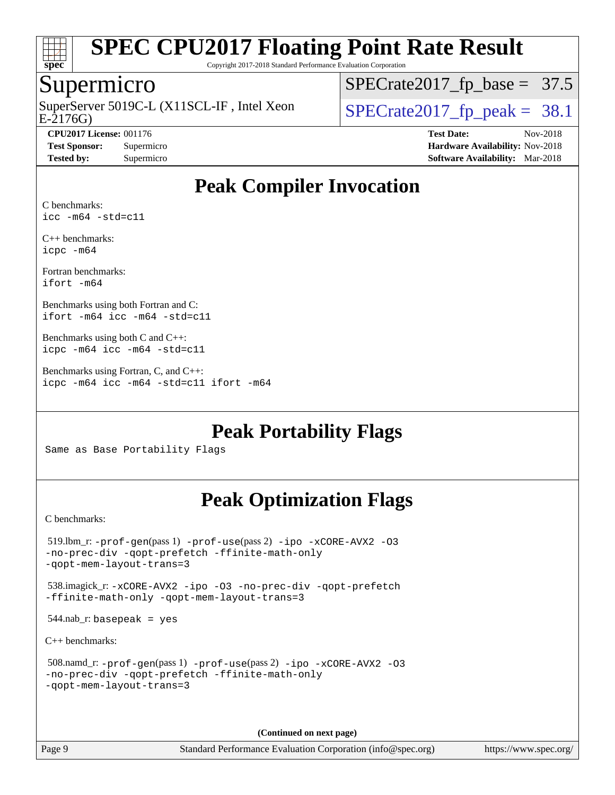

Copyright 2017-2018 Standard Performance Evaluation Corporation

### Supermicro

SuperServer 5019C-L (X11SCL-IF, Intel Xeon<br>E-2176G)

 $SPECTate2017_fp\_base = 37.5$ 

**[Tested by:](http://www.spec.org/auto/cpu2017/Docs/result-fields.html#Testedby)** Supermicro **[Software Availability:](http://www.spec.org/auto/cpu2017/Docs/result-fields.html#SoftwareAvailability)** Mar-2018

 $SPECTate2017_f p_peak = 38.1$ **[CPU2017 License:](http://www.spec.org/auto/cpu2017/Docs/result-fields.html#CPU2017License)** 001176 **[Test Date:](http://www.spec.org/auto/cpu2017/Docs/result-fields.html#TestDate)** Nov-2018 **[Test Sponsor:](http://www.spec.org/auto/cpu2017/Docs/result-fields.html#TestSponsor)** Supermicro **[Hardware Availability:](http://www.spec.org/auto/cpu2017/Docs/result-fields.html#HardwareAvailability)** Nov-2018

## **[Peak Compiler Invocation](http://www.spec.org/auto/cpu2017/Docs/result-fields.html#PeakCompilerInvocation)**

[C benchmarks:](http://www.spec.org/auto/cpu2017/Docs/result-fields.html#Cbenchmarks) [icc -m64 -std=c11](http://www.spec.org/cpu2017/results/res2018q4/cpu2017-20181112-09577.flags.html#user_CCpeak_intel_icc_64bit_c11_33ee0cdaae7deeeab2a9725423ba97205ce30f63b9926c2519791662299b76a0318f32ddfffdc46587804de3178b4f9328c46fa7c2b0cd779d7a61945c91cd35)

[C++ benchmarks:](http://www.spec.org/auto/cpu2017/Docs/result-fields.html#CXXbenchmarks) [icpc -m64](http://www.spec.org/cpu2017/results/res2018q4/cpu2017-20181112-09577.flags.html#user_CXXpeak_intel_icpc_64bit_4ecb2543ae3f1412ef961e0650ca070fec7b7afdcd6ed48761b84423119d1bf6bdf5cad15b44d48e7256388bc77273b966e5eb805aefd121eb22e9299b2ec9d9)

[Fortran benchmarks](http://www.spec.org/auto/cpu2017/Docs/result-fields.html#Fortranbenchmarks): [ifort -m64](http://www.spec.org/cpu2017/results/res2018q4/cpu2017-20181112-09577.flags.html#user_FCpeak_intel_ifort_64bit_24f2bb282fbaeffd6157abe4f878425411749daecae9a33200eee2bee2fe76f3b89351d69a8130dd5949958ce389cf37ff59a95e7a40d588e8d3a57e0c3fd751)

[Benchmarks using both Fortran and C:](http://www.spec.org/auto/cpu2017/Docs/result-fields.html#BenchmarksusingbothFortranandC) [ifort -m64](http://www.spec.org/cpu2017/results/res2018q4/cpu2017-20181112-09577.flags.html#user_CC_FCpeak_intel_ifort_64bit_24f2bb282fbaeffd6157abe4f878425411749daecae9a33200eee2bee2fe76f3b89351d69a8130dd5949958ce389cf37ff59a95e7a40d588e8d3a57e0c3fd751) [icc -m64 -std=c11](http://www.spec.org/cpu2017/results/res2018q4/cpu2017-20181112-09577.flags.html#user_CC_FCpeak_intel_icc_64bit_c11_33ee0cdaae7deeeab2a9725423ba97205ce30f63b9926c2519791662299b76a0318f32ddfffdc46587804de3178b4f9328c46fa7c2b0cd779d7a61945c91cd35)

[Benchmarks using both C and C++](http://www.spec.org/auto/cpu2017/Docs/result-fields.html#BenchmarksusingbothCandCXX): [icpc -m64](http://www.spec.org/cpu2017/results/res2018q4/cpu2017-20181112-09577.flags.html#user_CC_CXXpeak_intel_icpc_64bit_4ecb2543ae3f1412ef961e0650ca070fec7b7afdcd6ed48761b84423119d1bf6bdf5cad15b44d48e7256388bc77273b966e5eb805aefd121eb22e9299b2ec9d9) [icc -m64 -std=c11](http://www.spec.org/cpu2017/results/res2018q4/cpu2017-20181112-09577.flags.html#user_CC_CXXpeak_intel_icc_64bit_c11_33ee0cdaae7deeeab2a9725423ba97205ce30f63b9926c2519791662299b76a0318f32ddfffdc46587804de3178b4f9328c46fa7c2b0cd779d7a61945c91cd35)

[Benchmarks using Fortran, C, and C++:](http://www.spec.org/auto/cpu2017/Docs/result-fields.html#BenchmarksusingFortranCandCXX) [icpc -m64](http://www.spec.org/cpu2017/results/res2018q4/cpu2017-20181112-09577.flags.html#user_CC_CXX_FCpeak_intel_icpc_64bit_4ecb2543ae3f1412ef961e0650ca070fec7b7afdcd6ed48761b84423119d1bf6bdf5cad15b44d48e7256388bc77273b966e5eb805aefd121eb22e9299b2ec9d9) [icc -m64 -std=c11](http://www.spec.org/cpu2017/results/res2018q4/cpu2017-20181112-09577.flags.html#user_CC_CXX_FCpeak_intel_icc_64bit_c11_33ee0cdaae7deeeab2a9725423ba97205ce30f63b9926c2519791662299b76a0318f32ddfffdc46587804de3178b4f9328c46fa7c2b0cd779d7a61945c91cd35) [ifort -m64](http://www.spec.org/cpu2017/results/res2018q4/cpu2017-20181112-09577.flags.html#user_CC_CXX_FCpeak_intel_ifort_64bit_24f2bb282fbaeffd6157abe4f878425411749daecae9a33200eee2bee2fe76f3b89351d69a8130dd5949958ce389cf37ff59a95e7a40d588e8d3a57e0c3fd751)

**[Peak Portability Flags](http://www.spec.org/auto/cpu2017/Docs/result-fields.html#PeakPortabilityFlags)**

Same as Base Portability Flags

## **[Peak Optimization Flags](http://www.spec.org/auto/cpu2017/Docs/result-fields.html#PeakOptimizationFlags)**

[C benchmarks](http://www.spec.org/auto/cpu2017/Docs/result-fields.html#Cbenchmarks):

```
 519.lbm_r: -prof-gen(pass 1) -prof-use(pass 2) -ipo -xCORE-AVX2 -O3
-no-prec-div -qopt-prefetch -ffinite-math-only
-qopt-mem-layout-trans=3
 538.imagick_r: -xCORE-AVX2 -ipo -O3 -no-prec-div -qopt-prefetch
-ffinite-math-only -qopt-mem-layout-trans=3
544.nab_r: basepeak = yes
C++ benchmarks: 
 508.namd_r: -prof-gen(pass 1) -prof-use(pass 2) -ipo -xCORE-AVX2 -O3
-no-prec-div -qopt-prefetch -ffinite-math-only
-qopt-mem-layout-trans=3
```
**(Continued on next page)**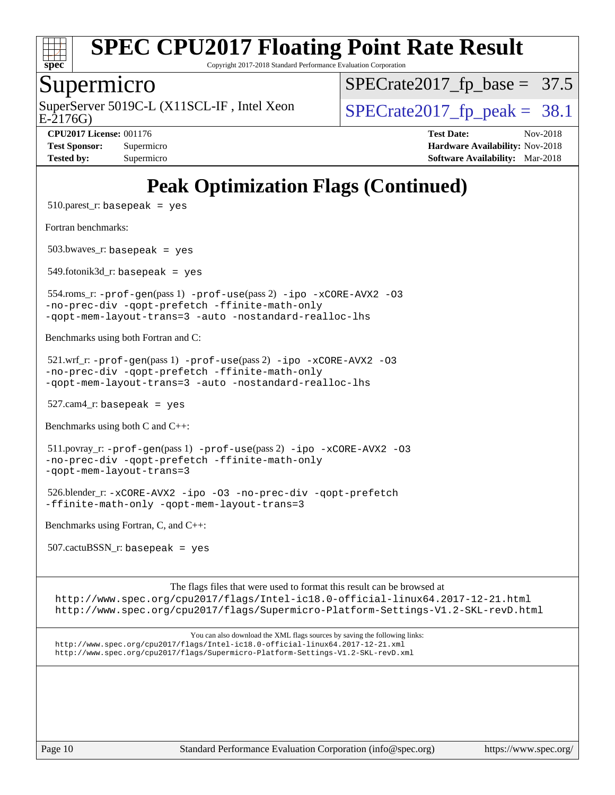

Copyright 2017-2018 Standard Performance Evaluation Corporation

#### Supermicro

E-2176G) SuperServer 5019C-L (X11SCL-IF, Intel Xeon  $SPECrate2017$  fp\_peak = 38.1

 $SPECTate2017_fp\_base = 37.5$ 

**[CPU2017 License:](http://www.spec.org/auto/cpu2017/Docs/result-fields.html#CPU2017License)** 001176 **[Test Date:](http://www.spec.org/auto/cpu2017/Docs/result-fields.html#TestDate)** Nov-2018 **[Test Sponsor:](http://www.spec.org/auto/cpu2017/Docs/result-fields.html#TestSponsor)** Supermicro **[Hardware Availability:](http://www.spec.org/auto/cpu2017/Docs/result-fields.html#HardwareAvailability)** Nov-2018 **[Tested by:](http://www.spec.org/auto/cpu2017/Docs/result-fields.html#Testedby)** Supermicro **Supermicro [Software Availability:](http://www.spec.org/auto/cpu2017/Docs/result-fields.html#SoftwareAvailability)** Mar-2018

## **[Peak Optimization Flags \(Continued\)](http://www.spec.org/auto/cpu2017/Docs/result-fields.html#PeakOptimizationFlags)**

 $510.parest_r:$  basepeak = yes

[Fortran benchmarks](http://www.spec.org/auto/cpu2017/Docs/result-fields.html#Fortranbenchmarks):

503.bwaves\_r: basepeak = yes

 $549.$ fotonik $3d$ <sub>-</sub> $r:$  basepeak = yes

 554.roms\_r: [-prof-gen](http://www.spec.org/cpu2017/results/res2018q4/cpu2017-20181112-09577.flags.html#user_peakPASS1_FFLAGSPASS1_LDFLAGS554_roms_r_prof_gen_5aa4926d6013ddb2a31985c654b3eb18169fc0c6952a63635c234f711e6e63dd76e94ad52365559451ec499a2cdb89e4dc58ba4c67ef54ca681ffbe1461d6b36)(pass 1) [-prof-use](http://www.spec.org/cpu2017/results/res2018q4/cpu2017-20181112-09577.flags.html#user_peakPASS2_FFLAGSPASS2_LDFLAGS554_roms_r_prof_use_1a21ceae95f36a2b53c25747139a6c16ca95bd9def2a207b4f0849963b97e94f5260e30a0c64f4bb623698870e679ca08317ef8150905d41bd88c6f78df73f19)(pass 2) [-ipo](http://www.spec.org/cpu2017/results/res2018q4/cpu2017-20181112-09577.flags.html#user_peakPASS1_FOPTIMIZEPASS2_FOPTIMIZE554_roms_r_f-ipo) [-xCORE-AVX2](http://www.spec.org/cpu2017/results/res2018q4/cpu2017-20181112-09577.flags.html#user_peakPASS2_FOPTIMIZE554_roms_r_f-xCORE-AVX2) [-O3](http://www.spec.org/cpu2017/results/res2018q4/cpu2017-20181112-09577.flags.html#user_peakPASS1_FOPTIMIZEPASS2_FOPTIMIZE554_roms_r_f-O3) [-no-prec-div](http://www.spec.org/cpu2017/results/res2018q4/cpu2017-20181112-09577.flags.html#user_peakPASS1_FOPTIMIZEPASS2_FOPTIMIZE554_roms_r_f-no-prec-div) [-qopt-prefetch](http://www.spec.org/cpu2017/results/res2018q4/cpu2017-20181112-09577.flags.html#user_peakPASS1_FOPTIMIZEPASS2_FOPTIMIZE554_roms_r_f-qopt-prefetch) [-ffinite-math-only](http://www.spec.org/cpu2017/results/res2018q4/cpu2017-20181112-09577.flags.html#user_peakPASS1_FOPTIMIZEPASS2_FOPTIMIZE554_roms_r_f_finite_math_only_cb91587bd2077682c4b38af759c288ed7c732db004271a9512da14a4f8007909a5f1427ecbf1a0fb78ff2a814402c6114ac565ca162485bbcae155b5e4258871) [-qopt-mem-layout-trans=3](http://www.spec.org/cpu2017/results/res2018q4/cpu2017-20181112-09577.flags.html#user_peakPASS1_FOPTIMIZEPASS2_FOPTIMIZE554_roms_r_f-qopt-mem-layout-trans_de80db37974c74b1f0e20d883f0b675c88c3b01e9d123adea9b28688d64333345fb62bc4a798493513fdb68f60282f9a726aa07f478b2f7113531aecce732043) [-auto](http://www.spec.org/cpu2017/results/res2018q4/cpu2017-20181112-09577.flags.html#user_peakPASS2_FOPTIMIZE554_roms_r_f-auto) [-nostandard-realloc-lhs](http://www.spec.org/cpu2017/results/res2018q4/cpu2017-20181112-09577.flags.html#user_peakEXTRA_FOPTIMIZE554_roms_r_f_2003_std_realloc_82b4557e90729c0f113870c07e44d33d6f5a304b4f63d4c15d2d0f1fab99f5daaed73bdb9275d9ae411527f28b936061aa8b9c8f2d63842963b95c9dd6426b8a)

[Benchmarks using both Fortran and C](http://www.spec.org/auto/cpu2017/Docs/result-fields.html#BenchmarksusingbothFortranandC):

 $521.\text{wrf}$ :  $-\text{prof-qen(pass 1)} -\text{prof-use(pass 2)} -\text{ipo } -\text{xCORE-AVX2} -03$ [-no-prec-div](http://www.spec.org/cpu2017/results/res2018q4/cpu2017-20181112-09577.flags.html#user_peakPASS1_COPTIMIZEPASS1_FOPTIMIZEPASS2_COPTIMIZEPASS2_FOPTIMIZE521_wrf_r_f-no-prec-div) [-qopt-prefetch](http://www.spec.org/cpu2017/results/res2018q4/cpu2017-20181112-09577.flags.html#user_peakPASS1_COPTIMIZEPASS1_FOPTIMIZEPASS2_COPTIMIZEPASS2_FOPTIMIZE521_wrf_r_f-qopt-prefetch) [-ffinite-math-only](http://www.spec.org/cpu2017/results/res2018q4/cpu2017-20181112-09577.flags.html#user_peakPASS1_COPTIMIZEPASS1_FOPTIMIZEPASS2_COPTIMIZEPASS2_FOPTIMIZE521_wrf_r_f_finite_math_only_cb91587bd2077682c4b38af759c288ed7c732db004271a9512da14a4f8007909a5f1427ecbf1a0fb78ff2a814402c6114ac565ca162485bbcae155b5e4258871) [-qopt-mem-layout-trans=3](http://www.spec.org/cpu2017/results/res2018q4/cpu2017-20181112-09577.flags.html#user_peakPASS1_COPTIMIZEPASS1_FOPTIMIZEPASS2_COPTIMIZEPASS2_FOPTIMIZE521_wrf_r_f-qopt-mem-layout-trans_de80db37974c74b1f0e20d883f0b675c88c3b01e9d123adea9b28688d64333345fb62bc4a798493513fdb68f60282f9a726aa07f478b2f7113531aecce732043) [-auto](http://www.spec.org/cpu2017/results/res2018q4/cpu2017-20181112-09577.flags.html#user_peakPASS2_FOPTIMIZE521_wrf_r_f-auto) [-nostandard-realloc-lhs](http://www.spec.org/cpu2017/results/res2018q4/cpu2017-20181112-09577.flags.html#user_peakEXTRA_FOPTIMIZE521_wrf_r_f_2003_std_realloc_82b4557e90729c0f113870c07e44d33d6f5a304b4f63d4c15d2d0f1fab99f5daaed73bdb9275d9ae411527f28b936061aa8b9c8f2d63842963b95c9dd6426b8a)

527.cam4\_r: basepeak = yes

[Benchmarks using both C and C++](http://www.spec.org/auto/cpu2017/Docs/result-fields.html#BenchmarksusingbothCandCXX):

 511.povray\_r: [-prof-gen](http://www.spec.org/cpu2017/results/res2018q4/cpu2017-20181112-09577.flags.html#user_peakPASS1_CFLAGSPASS1_CXXFLAGSPASS1_LDFLAGS511_povray_r_prof_gen_5aa4926d6013ddb2a31985c654b3eb18169fc0c6952a63635c234f711e6e63dd76e94ad52365559451ec499a2cdb89e4dc58ba4c67ef54ca681ffbe1461d6b36)(pass 1) [-prof-use](http://www.spec.org/cpu2017/results/res2018q4/cpu2017-20181112-09577.flags.html#user_peakPASS2_CFLAGSPASS2_CXXFLAGSPASS2_LDFLAGS511_povray_r_prof_use_1a21ceae95f36a2b53c25747139a6c16ca95bd9def2a207b4f0849963b97e94f5260e30a0c64f4bb623698870e679ca08317ef8150905d41bd88c6f78df73f19)(pass 2) [-ipo](http://www.spec.org/cpu2017/results/res2018q4/cpu2017-20181112-09577.flags.html#user_peakPASS1_COPTIMIZEPASS1_CXXOPTIMIZEPASS2_COPTIMIZEPASS2_CXXOPTIMIZE511_povray_r_f-ipo) [-xCORE-AVX2](http://www.spec.org/cpu2017/results/res2018q4/cpu2017-20181112-09577.flags.html#user_peakPASS2_COPTIMIZEPASS2_CXXOPTIMIZE511_povray_r_f-xCORE-AVX2) [-O3](http://www.spec.org/cpu2017/results/res2018q4/cpu2017-20181112-09577.flags.html#user_peakPASS1_COPTIMIZEPASS1_CXXOPTIMIZEPASS2_COPTIMIZEPASS2_CXXOPTIMIZE511_povray_r_f-O3) [-no-prec-div](http://www.spec.org/cpu2017/results/res2018q4/cpu2017-20181112-09577.flags.html#user_peakPASS1_COPTIMIZEPASS1_CXXOPTIMIZEPASS2_COPTIMIZEPASS2_CXXOPTIMIZE511_povray_r_f-no-prec-div) [-qopt-prefetch](http://www.spec.org/cpu2017/results/res2018q4/cpu2017-20181112-09577.flags.html#user_peakPASS1_COPTIMIZEPASS1_CXXOPTIMIZEPASS2_COPTIMIZEPASS2_CXXOPTIMIZE511_povray_r_f-qopt-prefetch) [-ffinite-math-only](http://www.spec.org/cpu2017/results/res2018q4/cpu2017-20181112-09577.flags.html#user_peakPASS1_COPTIMIZEPASS1_CXXOPTIMIZEPASS2_COPTIMIZEPASS2_CXXOPTIMIZE511_povray_r_f_finite_math_only_cb91587bd2077682c4b38af759c288ed7c732db004271a9512da14a4f8007909a5f1427ecbf1a0fb78ff2a814402c6114ac565ca162485bbcae155b5e4258871) [-qopt-mem-layout-trans=3](http://www.spec.org/cpu2017/results/res2018q4/cpu2017-20181112-09577.flags.html#user_peakPASS1_COPTIMIZEPASS1_CXXOPTIMIZEPASS2_COPTIMIZEPASS2_CXXOPTIMIZE511_povray_r_f-qopt-mem-layout-trans_de80db37974c74b1f0e20d883f0b675c88c3b01e9d123adea9b28688d64333345fb62bc4a798493513fdb68f60282f9a726aa07f478b2f7113531aecce732043)

 526.blender\_r: [-xCORE-AVX2](http://www.spec.org/cpu2017/results/res2018q4/cpu2017-20181112-09577.flags.html#user_peakCOPTIMIZECXXOPTIMIZE526_blender_r_f-xCORE-AVX2) [-ipo](http://www.spec.org/cpu2017/results/res2018q4/cpu2017-20181112-09577.flags.html#user_peakCOPTIMIZECXXOPTIMIZE526_blender_r_f-ipo) [-O3](http://www.spec.org/cpu2017/results/res2018q4/cpu2017-20181112-09577.flags.html#user_peakCOPTIMIZECXXOPTIMIZE526_blender_r_f-O3) [-no-prec-div](http://www.spec.org/cpu2017/results/res2018q4/cpu2017-20181112-09577.flags.html#user_peakCOPTIMIZECXXOPTIMIZE526_blender_r_f-no-prec-div) [-qopt-prefetch](http://www.spec.org/cpu2017/results/res2018q4/cpu2017-20181112-09577.flags.html#user_peakCOPTIMIZECXXOPTIMIZE526_blender_r_f-qopt-prefetch) [-ffinite-math-only](http://www.spec.org/cpu2017/results/res2018q4/cpu2017-20181112-09577.flags.html#user_peakCOPTIMIZECXXOPTIMIZE526_blender_r_f_finite_math_only_cb91587bd2077682c4b38af759c288ed7c732db004271a9512da14a4f8007909a5f1427ecbf1a0fb78ff2a814402c6114ac565ca162485bbcae155b5e4258871) [-qopt-mem-layout-trans=3](http://www.spec.org/cpu2017/results/res2018q4/cpu2017-20181112-09577.flags.html#user_peakCOPTIMIZECXXOPTIMIZE526_blender_r_f-qopt-mem-layout-trans_de80db37974c74b1f0e20d883f0b675c88c3b01e9d123adea9b28688d64333345fb62bc4a798493513fdb68f60282f9a726aa07f478b2f7113531aecce732043)

[Benchmarks using Fortran, C, and C++:](http://www.spec.org/auto/cpu2017/Docs/result-fields.html#BenchmarksusingFortranCandCXX)

507.cactuBSSN\_r: basepeak = yes

The flags files that were used to format this result can be browsed at <http://www.spec.org/cpu2017/flags/Intel-ic18.0-official-linux64.2017-12-21.html> <http://www.spec.org/cpu2017/flags/Supermicro-Platform-Settings-V1.2-SKL-revD.html>

You can also download the XML flags sources by saving the following links: <http://www.spec.org/cpu2017/flags/Intel-ic18.0-official-linux64.2017-12-21.xml> <http://www.spec.org/cpu2017/flags/Supermicro-Platform-Settings-V1.2-SKL-revD.xml>